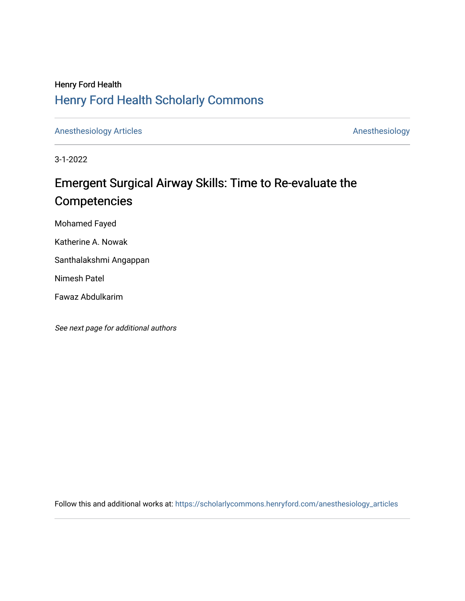## Henry Ford Health [Henry Ford Health Scholarly Commons](https://scholarlycommons.henryford.com/)

[Anesthesiology Articles](https://scholarlycommons.henryford.com/anesthesiology_articles) [Anesthesiology](https://scholarlycommons.henryford.com/anesthesiology) Articles

3-1-2022

# Emergent Surgical Airway Skills: Time to Re-evaluate the Competencies

Mohamed Fayed

Katherine A. Nowak

Santhalakshmi Angappan

Nimesh Patel

Fawaz Abdulkarim

See next page for additional authors

Follow this and additional works at: [https://scholarlycommons.henryford.com/anesthesiology\\_articles](https://scholarlycommons.henryford.com/anesthesiology_articles?utm_source=scholarlycommons.henryford.com%2Fanesthesiology_articles%2F125&utm_medium=PDF&utm_campaign=PDFCoverPages)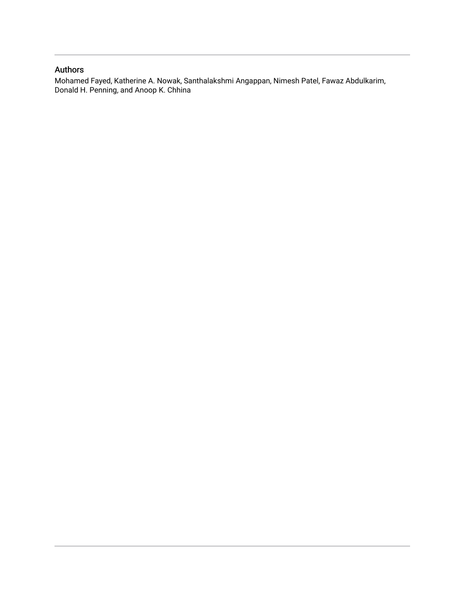### Authors

Mohamed Fayed, Katherine A. Nowak, Santhalakshmi Angappan, Nimesh Patel, Fawaz Abdulkarim, Donald H. Penning, and Anoop K. Chhina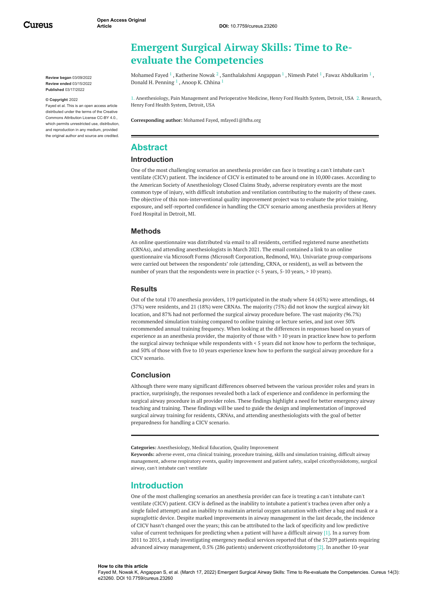**Review began** 03/09/2022 **Review ended** 03/15/2022 **Published** 03/17/2022

#### **© Copyright** 2022

Fayed et al. This is an open access article distributed under the terms of the Creative Commons Attribution License CC-BY 4.0., which permits unrestricted use, distribution, and reproduction in any medium, provided the original author and source are credited.

## <span id="page-2-0"></span>**Emergent Surgical Airway Skills: Time to Reevaluate the Competencies**

[Mohamed](https://www.cureus.com/users/290565-mohamed-fayed) Fayed  $^1$  , [Katherine](https://www.cureus.com/users/298426-katherine-nowak) Nowak  $^2$  , [Santhalakshmi](https://www.cureus.com/users/310733-santhalakshmi-angappan) Angappan  $^1$  , [Nimesh](https://www.cureus.com/users/298427-nimesh-patel) Patel  $^1$  , Fawaz [Abdulkarim](https://www.cureus.com/users/339577-fawaz-abdulkarim)  $^1$  , Donald H. [Penning](https://www.cureus.com/users/190436-donald-h-penning) <sup>1</sup> , Anoop K. [Chhina](https://www.cureus.com/users/298425-anoop-k-chhina) <sup>1</sup>

1. Anesthesiology, Pain Management and Perioperative Medicine, Henry Ford Health System, Detroit, USA 2. Research, Henry Ford Health System, Detroit, USA

**Corresponding author:** Mohamed Fayed, mfayed1@hfhs.org

#### **Abstract**

#### **Introduction**

One of the most challenging scenarios an anesthesia provider can face is treating a can't intubate can't ventilate (CICV) patient. The incidence of CICV is estimated to be around one in 10,000 cases. According to the American Society of Anesthesiology Closed Claims Study, adverse respiratory events are the most common type of injury, with difficult intubation and ventilation contributing to the majority of these cases. The objective of this non-interventional quality improvement project was to evaluate the prior training, exposure, and self-reported confidence in handling the CICV scenario among anesthesia providers at Henry Ford Hospital in Detroit, MI.

#### **Methods**

An online questionnaire was distributed via email to all residents, certified registered nurse anesthetists (CRNAs), and attending anesthesiologists in March 2021. The email contained a link to an online questionnaire via Microsoft Forms (Microsoft Corporation, Redmond, WA). Univariate group comparisons were carried out between the respondents' role (attending, CRNA, or resident), as well as between the number of years that the respondents were in practice (< 5 years, 5-10 years, > 10 years).

#### **Results**

Out of the total 170 anesthesia providers, 119 participated in the study where 54 (45%) were attendings, 44 (37%) were residents, and 21 (18%) were CRNAs. The majority (75%) did not know the surgical airway kit location, and 87% had not performed the surgical airway procedure before. The vast majority (96.7%) recommended simulation training compared to online training or lecture series, and just over 50% recommended annual training frequency. When looking at the differences in responses based on years of experience as an anesthesia provider, the majority of those with > 10 years in practice knew how to perform the surgical airway technique while respondents with < 5 years did not know how to perform the technique, and 50% of those with five to 10 years experience knew how to perform the surgical airway procedure for a CICV scenario.

#### **Conclusion**

Although there were many significant differences observed between the various provider roles and years in practice, surprisingly, the responses revealed both a lack of experience and confidence in performing the surgical airway procedure in all provider roles. These findings highlight a need for better emergency airway teaching and training. These findings will be used to guide the design and implementation of improved surgical airway training for residents, CRNAs, and attending anesthesiologists with the goal of better preparedness for handling a CICV scenario.

**Categories:** Anesthesiology, Medical Education, Quality Improvement

**Keywords:** adverse event, crna clinical training, procedure training, skills and simulation training, difficult airway management, adverse respiratory events, quality improvement and patient safety, scalpel cricothyroidotomy, surgical airway, can't intubate can't ventilate

#### **Introduction**

One of the most challenging scenarios an anesthesia provider can face is treating a can't intubate can't ventilate (CICV) patient. CICV is defined as the inability to intubate a patient's trachea (even after only a single failed attempt) and an inability to maintain arterial oxygen saturation with either a bag and mask or a supraglottic device. Despite marked improvements in airway management in the last decade, the incidence of CICV hasn't changed over the years; this can be attributed to the lack of specificity and low predictive value of current techniques for predicting when a patient will have a difficult airway [1]. In a survey from 2011 to 2015, a study investigating emergency medical services reported that of the 57,209 patients requiring advanced airway management, 0.5% (286 patients) underwent cricothyroidotomy [2]. In another 10-year

#### **How to cite this article**

Fayed M, Nowak K, Angappan S, et al. (March 17, 2022) Emergent Surgical Airway Skills: Time to Re-evaluate the Competencies. Cureus 14(3): e23260. DOI 10.7759/cureus.23260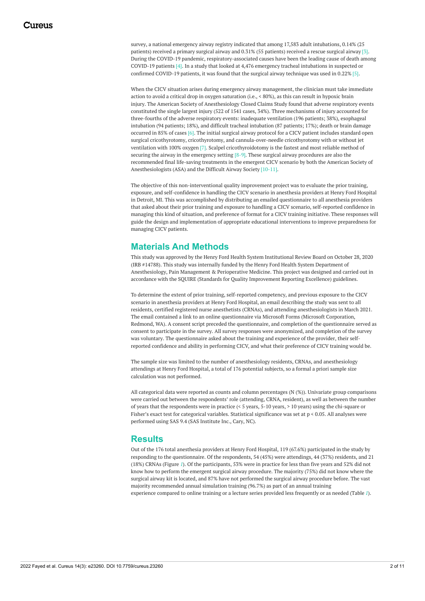<span id="page-3-0"></span>survey, a national emergency airway registry indicated that among 17,583 adult intubations, 0.14% (25 patients) received a primary surgical airway and 0.31% (55 patients) received a rescue surgical airway [3]. During the COVID-19 pandemic, respiratory-associated causes have been the leading cause of death among COVID-19 patients [4]. In a study that looked at 4,476 emergency tracheal intubations in suspected or confirmed COVID-19 patients, it was found that the surgical airway technique was used in 0.22% [5].

When the CICV situation arises during emergency airway management, the clinician must take immediate action to avoid a critical drop in oxygen saturation (i.e., < 80%), as this can result in hypoxic brain injury. The American Society of Anesthesiology Closed Claims Study found that adverse respiratory events constituted the single largest injury (522 of 1541 cases, 34%). Three mechanisms of injury accounted for three-fourths of the adverse respiratory events: inadequate ventilation (196 patients; 38%), esophageal intubation (94 patients; 18%), and difficult tracheal intubation (87 patients; 17%); death or brain damage occurred in 85% of cases [6]. The initial surgical airway protocol for a CICV patient includes standard open surgical cricothyrotomy, cricothyrotomy, and cannula-over-needle cricothyrotomy with or without jet ventilation with 100% oxygen [7]. Scalpel cricothyroidotomy is the fastest and most reliable method of securing the airway in the emergency setting  $[8-9]$ . These surgical airway procedures are also the recommended final life-saving treatments in the emergent CICV scenario by both the American Society of Anesthesiologists (ASA) and the Difficult Airway Society [10-11].

The objective of this non-interventional quality improvement project was to evaluate the prior training, exposure, and self-confidence in handling the CICV scenario in anesthesia providers at Henry Ford Hospital in Detroit, MI. This was accomplished by distributing an emailed questionnaire to all anesthesia providers that asked about their prior training and exposure to handling a CICV scenario, self-reported confidence in managing this kind of situation, and preference of format for a CICV training initiative. These responses will guide the design and implementation of appropriate educational interventions to improve preparedness for managing CICV patients.

### **Materials And Methods**

This study was approved by the Henry Ford Health System Institutional Review Board on October 28, 2020 (IRB #14788). This study was internally funded by the Henry Ford Health System Department of Anesthesiology, Pain Management & Perioperative Medicine. This project was designed and carried out in accordance with the SQUIRE (Standards for Quality Improvement Reporting Excellence) guidelines.

To determine the extent of prior training, self-reported competency, and previous exposure to the CICV scenario in anesthesia providers at Henry Ford Hospital, an email describing the study was sent to all residents, certified registered nurse anesthetists (CRNAs), and attending anesthesiologists in March 2021. The email contained a link to an online questionnaire via Microsoft Forms (Microsoft Corporation, Redmond, WA). A consent script preceded the questionnaire, and completion of the questionnaire served as consent to participate in the survey. All survey responses were anonymized, and completion of the survey was voluntary. The questionnaire asked about the training and experience of the provider, their selfreported confidence and ability in performing CICV, and what their preference of CICV training would be.

The sample size was limited to the number of anesthesiology residents, CRNAs, and anesthesiology attendings at Henry Ford Hospital, a total of 176 potential subjects, so a formal a priori sample size calculation was not performed.

All categorical data were reported as counts and column percentages (N (%)). Univariate group comparisons were carried out between the respondents' role (attending, CRNA, resident), as well as between the number of years that the respondents were in practice (< 5 years, 5-10 years, > 10 years) using the chi-square or Fisher's exact test for categorical variables. Statistical significance was set at p < 0.05. All analyses were performed using SAS 9.4 (SAS Institute Inc., Cary, NC).

#### **Results**

Out of the 176 total anesthesia providers at Henry Ford Hospital, 119 (67.6%) participated in the study by responding to the questionnaire. Of the respondents, 54 (45%) were attendings, 44 (37%) residents, and 21 (18%) CRNAs (Figure *[1](#page-2-0)*). Of the participants, 53% were in practice for less than five years and 52% did not know how to perform the emergent surgical airway procedure. The majority (75%) did not know where the surgical airway kit is located, and 87% have not performed the surgical airway procedure before. The vast majority recommended annual simulation training (96.7%) as part of an annual training experience compared to online training or a lecture series provided less frequently or as needed (Table *[1](#page-3-0)*).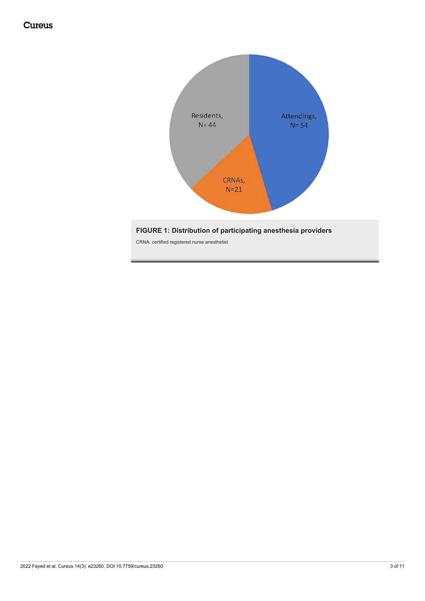

#### **FIGURE 1: Distribution of participating anesthesia providers**

CRNA: certified registered nurse anesthetist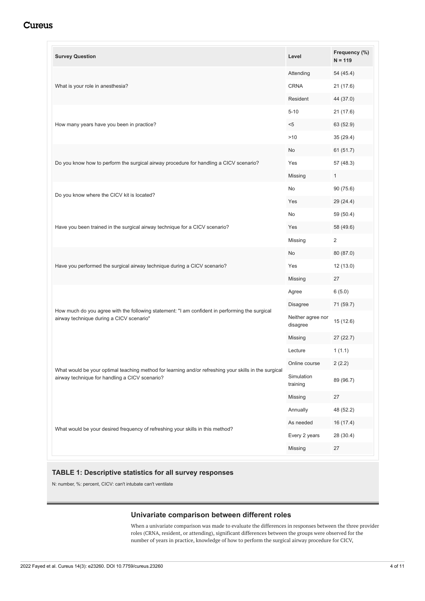<span id="page-5-0"></span>

| <b>Survey Question</b>                                                                                                                                  | Level                         | Frequency (%)<br>$N = 119$ |
|---------------------------------------------------------------------------------------------------------------------------------------------------------|-------------------------------|----------------------------|
| What is your role in anesthesia?                                                                                                                        | Attending                     | 54 (45.4)                  |
|                                                                                                                                                         | <b>CRNA</b>                   | 21(17.6)                   |
|                                                                                                                                                         | Resident                      | 44 (37.0)                  |
| How many years have you been in practice?                                                                                                               | $5 - 10$                      | 21 (17.6)                  |
|                                                                                                                                                         | $5$                           | 63 (52.9)                  |
|                                                                                                                                                         | >10                           | 35(29.4)                   |
| Do you know how to perform the surgical airway procedure for handling a CICV scenario?                                                                  | No                            | 61 (51.7)                  |
|                                                                                                                                                         | Yes                           | 57 (48.3)                  |
|                                                                                                                                                         | Missing                       | 1                          |
| Do you know where the CICV kit is located?                                                                                                              | No                            | 90 (75.6)                  |
|                                                                                                                                                         | Yes                           | 29 (24.4)                  |
|                                                                                                                                                         | No                            | 59 (50.4)                  |
| Have you been trained in the surgical airway technique for a CICV scenario?                                                                             | Yes                           | 58 (49.6)                  |
|                                                                                                                                                         | Missing                       | $\overline{2}$             |
|                                                                                                                                                         | No                            | 80 (87.0)                  |
| Have you performed the surgical airway technique during a CICV scenario?                                                                                | Yes                           | 12 (13.0)                  |
|                                                                                                                                                         | Missing                       | 27                         |
|                                                                                                                                                         | Agree                         | 6(5.0)                     |
|                                                                                                                                                         | Disagree                      | 71 (59.7)                  |
| How much do you agree with the following statement: "I am confident in performing the surgical<br>airway technique during a CICV scenario"              | Neither agree nor<br>disagree | 15 (12.6)                  |
|                                                                                                                                                         | Missing                       | 27 (22.7)                  |
|                                                                                                                                                         | Lecture                       | 1(1.1)                     |
|                                                                                                                                                         | Online course                 | 2(2.2)                     |
| What would be your optimal teaching method for learning and/or refreshing your skills in the surgical<br>airway technique for handling a CICV scenario? | Simulation<br>training        | 89 (96.7)                  |
|                                                                                                                                                         | Missing                       | 27                         |
|                                                                                                                                                         | Annually                      | 48 (52.2)                  |
| What would be your desired frequency of refreshing your skills in this method?                                                                          | As needed                     | 16(17.4)                   |
|                                                                                                                                                         | Every 2 years                 | 28 (30.4)                  |
|                                                                                                                                                         | Missing                       | 27                         |

#### **TABLE 1: Descriptive statistics for all survey responses**

N: number, %: percent, CICV: can't intubate can't ventilate

#### **Univariate comparison between different roles**

When a univariate comparison was made to evaluate the differences in responses between the three provider roles (CRNA, resident, or attending), significant differences between the groups were observed for the number of years in practice, knowledge of how to perform the surgical airway procedure for CICV,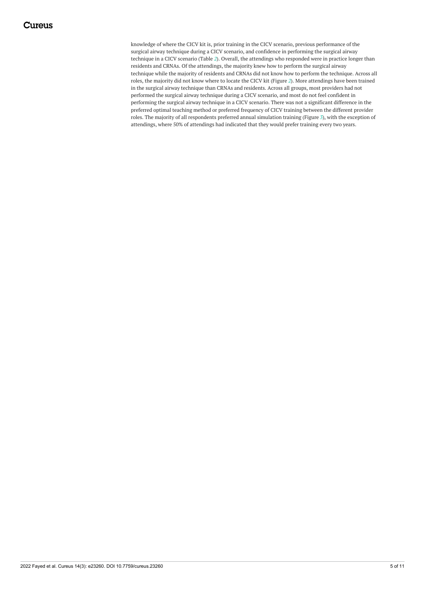<span id="page-6-1"></span><span id="page-6-0"></span>knowledge of where the CICV kit is, prior training in the CICV scenario, previous performance of the surgical airway technique during a CICV scenario, and confidence in performing the surgical airway technique in a CICV scenario (Table *[2](#page-5-0)*). Overall, the attendings who responded were in practice longer than residents and CRNAs. Of the attendings, the majority knew how to perform the surgical airway technique while the majority of residents and CRNAs did not know how to perform the technique. Across all roles, the majority did not know where to locate the CICV kit (Figure *[2](#page-6-0)*). More attendings have been trained in the surgical airway technique than CRNAs and residents. Across all groups, most providers had not performed the surgical airway technique during a CICV scenario, and most do not feel confident in performing the surgical airway technique in a CICV scenario. There was not a significant difference in the preferred optimal teaching method or preferred frequency of CICV training between the different provider roles. The majority of all respondents preferred annual simulation training (Figure *[3](#page-6-1)*), with the exception of attendings, where 50% of attendings had indicated that they would prefer training every two years.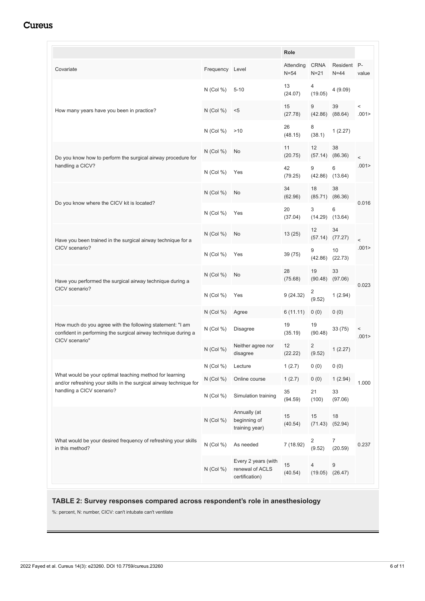|                                                                                                                                                            |                 |                                                          | Role                |                                   |                           |                 |
|------------------------------------------------------------------------------------------------------------------------------------------------------------|-----------------|----------------------------------------------------------|---------------------|-----------------------------------|---------------------------|-----------------|
| Covariate                                                                                                                                                  | Frequency Level |                                                          | Attending<br>$N=54$ | <b>CRNA</b><br>$N=21$             | Resident P-<br>$N = 44$   | value           |
| How many years have you been in practice?                                                                                                                  | $N$ (Col %)     | $5 - 10$                                                 | 13<br>(24.07)       | 4<br>(19.05)                      | 4 (9.09)                  |                 |
|                                                                                                                                                            | $N$ (Col %)     | $5$                                                      | 15<br>(27.78)       | 9<br>(42.86)                      | 39<br>(88.64)             | $\,<$<br>.001 > |
|                                                                                                                                                            | $N$ (Col %)     | >10                                                      | 26<br>(48.15)       | 8<br>(38.1)                       | 1(2.27)                   |                 |
| Do you know how to perform the surgical airway procedure for<br>handling a CICV?                                                                           | N (Col %)       | No                                                       | 11<br>(20.75)       | 12<br>(57.14)                     | 38<br>(86.36)             | $\,<$           |
|                                                                                                                                                            | $N$ (Col %)     | Yes                                                      | 42<br>(79.25)       | 9                                 | 6<br>$(42.86)$ $(13.64)$  | .001 >          |
| Do you know where the CICV kit is located?                                                                                                                 | $N$ (Col %)     | No                                                       | 34<br>(62.96)       | 18                                | 38<br>$(85.71)$ $(86.36)$ |                 |
|                                                                                                                                                            | $N$ (Col %)     | Yes                                                      | 20<br>(37.04)       | 3<br>(14.29)                      | 6<br>(13.64)              | 0.016           |
| Have you been trained in the surgical airway technique for a<br>CICV scenario?                                                                             | $N$ (Col %)     | No                                                       | 13(25)              | 12<br>(57.14)                     | 34<br>(77.27)             | $\,<$           |
|                                                                                                                                                            | $N$ (Col %)     | Yes                                                      | 39 (75)             | 9<br>(42.86)                      | 10<br>(22.73)             | .001 >          |
| Have you performed the surgical airway technique during a<br>CICV scenario?                                                                                | $N$ (Col %)     | No                                                       | 28<br>(75.68)       | 19<br>(90.48)                     | 33<br>(97.06)             | 0.023           |
|                                                                                                                                                            | $N$ (Col %)     | Yes                                                      | 9(24.32)            | 2<br>(9.52)                       | 1(2.94)                   |                 |
|                                                                                                                                                            | $N$ (Col %)     | Agree                                                    | 6(11.11)            | 0(0)                              | 0(0)                      | $\,<$<br>.001 > |
| How much do you agree with the following statement: "I am<br>confident in performing the surgical airway technique during a<br>CICV scenario"              | $N$ (Col %)     | <b>Disagree</b>                                          | 19<br>(35.19)       | 19<br>(90.48)                     | 33 (75)                   |                 |
|                                                                                                                                                            | $N$ (Col %)     | Neither agree nor<br>disagree                            | 12<br>(22.22)       | 2<br>(9.52)                       | 1(2.27)                   |                 |
| What would be your optimal teaching method for learning<br>and/or refreshing your skills in the surgical airway technique for<br>handling a CICV scenario? | $N$ (Col %)     | Lecture                                                  | 1(2.7)              | 0(0)                              | 0(0)                      |                 |
|                                                                                                                                                            | $N$ (Col %)     | Online course                                            | 1(2.7)              | 0(0)                              | 1(2.94)                   | 1.000           |
|                                                                                                                                                            | $N$ (Col %)     | Simulation training                                      | 35<br>(94.59)       | 21<br>(100)                       | 33<br>(97.06)             |                 |
| What would be your desired frequency of refreshing your skills<br>in this method?                                                                          | $N$ (Col %)     | Annually (at<br>beginning of<br>training year)           | 15<br>(40.54)       | 15<br>(71.43)                     | 18<br>(52.94)             |                 |
|                                                                                                                                                            | $N$ (Col %)     | As needed                                                | 7 (18.92)           | $\overline{\mathbf{c}}$<br>(9.52) | 7<br>(20.59)              | 0.237           |
|                                                                                                                                                            | $N$ (Col %)     | Every 2 years (with<br>renewal of ACLS<br>certification) | 15<br>(40.54)       | 4                                 | 9<br>$(19.05)$ $(26.47)$  |                 |

#### **TABLE 2: Survey responses compared across respondent's role in anesthesiology**

%: percent, N: number, CICV: can't intubate can't ventilate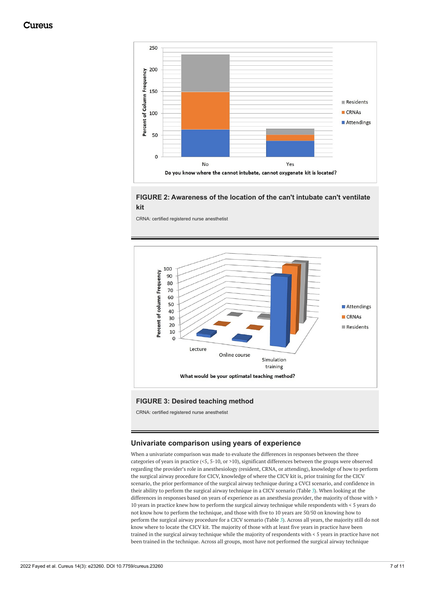<span id="page-8-0"></span>

#### **FIGURE 2: Awareness of the location of the can't intubate can't ventilate kit**

CRNA: certified registered nurse anesthetist



#### **FIGURE 3: Desired teaching method**

CRNA: certified registered nurse anesthetist

#### **Univariate comparison using years of experience**

When a univariate comparison was made to evaluate the differences in responses between the three categories of years in practice (<5, 5-10, or >10), significant differences between the groups were observed regarding the provider's role in anesthesiology (resident, CRNA, or attending), knowledge of how to perform the surgical airway procedure for CICV, knowledge of where the CICV kit is, prior training for the CICV scenario, the prior performance of the surgical airway technique during a CVCI scenario, and confidence in their ability to perform the surgical airway technique in a CICV scenario (Table *[3](#page-8-0)*). When looking at the differences in responses based on years of experience as an anesthesia provider, the majority of those with > 10 years in practice knew how to perform the surgical airway technique while respondents with < 5 years do not know how to perform the technique, and those with five to 10 years are 50/50 on knowing how to perform the surgical airway procedure for a CICV scenario (Table *[3](#page-8-0)*). Across all years, the majority still do not know where to locate the CICV kit. The majority of those with at least five years in practice have been trained in the surgical airway technique while the majority of respondents with < 5 years in practice have not been trained in the technique. Across all groups, most have not performed the surgical airway technique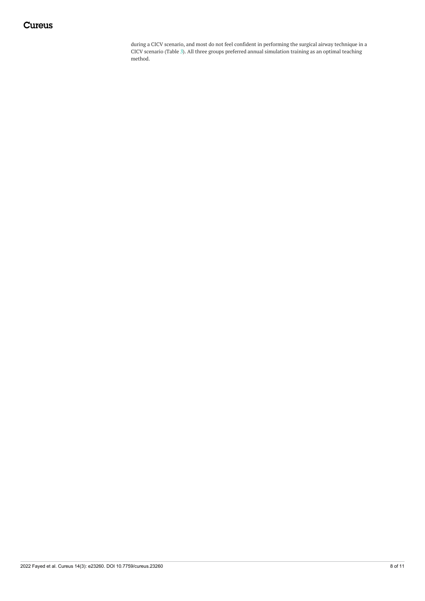during a CICV scenario, and most do not feel confident in performing the surgical airway technique in a CICV scenario (Table *[3](#page-8-0)*). All three groups preferred annual simulation training as an optimal teaching method.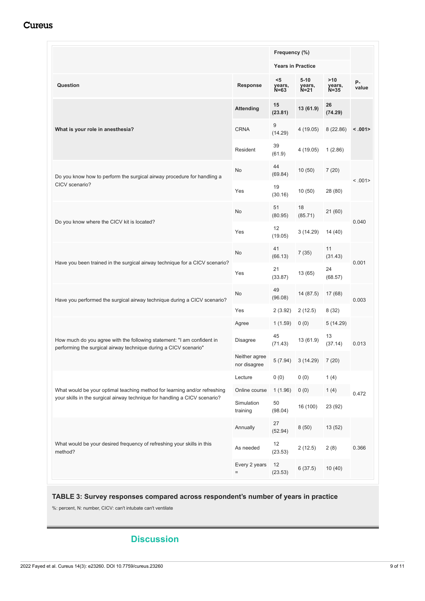|                                                                                                                                                         |                               | Frequency (%)<br><b>Years in Practice</b> |                              |                           |             |
|---------------------------------------------------------------------------------------------------------------------------------------------------------|-------------------------------|-------------------------------------------|------------------------------|---------------------------|-------------|
|                                                                                                                                                         |                               |                                           |                              |                           |             |
| Question                                                                                                                                                | <b>Response</b>               | $5$<br>years,<br>$N = 63$                 | $5 - 10$<br>years,<br>$N=21$ | >10<br>years,<br>$N = 35$ | P-<br>value |
| What is your role in anesthesia?                                                                                                                        | <b>Attending</b>              | 15<br>(23.81)                             | 13 (61.9)                    | 26<br>(74.29)             | < .001      |
|                                                                                                                                                         | <b>CRNA</b>                   | 9<br>(14.29)                              | 4(19.05)                     | 8(22.86)                  |             |
|                                                                                                                                                         | Resident                      | 39<br>(61.9)                              | 4 (19.05)                    | 1(2.86)                   |             |
| Do you know how to perform the surgical airway procedure for handling a<br>CICV scenario?                                                               | No                            | 44<br>(69.84)                             | 10(50)                       | 7(20)                     | < .001      |
|                                                                                                                                                         | Yes                           | 19<br>(30.16)                             | 10(50)                       | 28 (80)                   |             |
| Do you know where the CICV kit is located?                                                                                                              | No                            | 51<br>(80.95)                             | 18<br>(85.71)                | 21 (60)                   | 0.040       |
|                                                                                                                                                         | Yes                           | 12<br>(19.05)                             | 3(14.29)                     | 14 (40)                   |             |
| Have you been trained in the surgical airway technique for a CICV scenario?                                                                             | No                            | 41<br>(66.13)                             | 7(35)                        | 11<br>(31.43)             | 0.001       |
|                                                                                                                                                         | Yes                           | 21<br>(33.87)                             | 13 (65)                      | 24<br>(68.57)             |             |
| Have you performed the surgical airway technique during a CICV scenario?                                                                                | No                            | 49<br>(96.08)                             | 14 (87.5)                    | 17 (68)                   | 0.003       |
|                                                                                                                                                         | Yes                           | 2(3.92)                                   | 2(12.5)                      | 8(32)                     |             |
|                                                                                                                                                         | Agree                         | 1(1.59)                                   | 0(0)                         | 5(14.29)                  |             |
| How much do you agree with the following statement: "I am confident in<br>performing the surgical airway technique during a CICV scenario"              | <b>Disagree</b>               | 45<br>(71.43)                             | 13 (61.9)                    | 13<br>(37.14)             | 0.013       |
|                                                                                                                                                         | Neither agree<br>nor disagree |                                           | $5(7.94)$ $3(14.29)$         | 7(20)                     |             |
| What would be your optimal teaching method for learning and/or refreshing<br>your skills in the surgical airway technique for handling a CICV scenario? | Lecture                       | 0(0)                                      | 0(0)                         | 1(4)                      | 0.472       |
|                                                                                                                                                         | Online course                 | 1(1.96)                                   | 0(0)                         | 1(4)                      |             |
|                                                                                                                                                         | Simulation<br>training        | 50<br>(98.04)                             | 16 (100)                     | 23 (92)                   |             |
| What would be your desired frequency of refreshing your skills in this<br>method?                                                                       | Annually                      | 27<br>(52.94)                             | 8(50)                        | 13 (52)                   |             |
|                                                                                                                                                         | As needed                     | 12<br>(23.53)                             | 2(12.5)                      | 2(8)                      | 0.366       |
|                                                                                                                                                         | Every 2 years<br>$=$          | 12<br>(23.53)                             | 6(37.5)                      | 10(40)                    |             |

#### **TABLE 3: Survey responses compared across respondent's number of years in practice**

%: percent, N: number, CICV: can't intubate can't ventilate

## **Discussion**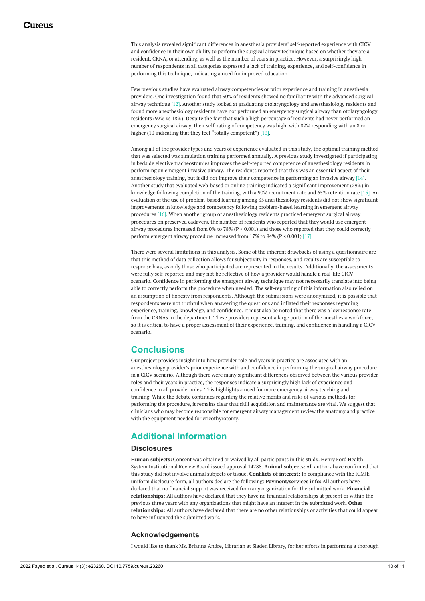This analysis revealed significant differences in anesthesia providers' self-reported experience with CICV and confidence in their own ability to perform the surgical airway technique based on whether they are a resident, CRNA, or attending, as well as the number of years in practice. However, a surprisingly high number of respondents in all categories expressed a lack of training, experience, and self-confidence in performing this technique, indicating a need for improved education.

Few previous studies have evaluated airway competencies or prior experience and training in anesthesia providers. One investigation found that 90% of residents showed no familiarity with the advanced surgical airway technique [12]. Another study looked at graduating otolaryngology and anesthesiology residents and found more anesthesiology residents have not performed an emergency surgical airway than otolaryngology residents (92% vs 18%). Despite the fact that such a high percentage of residents had never performed an emergency surgical airway, their self-rating of competency was high, with 82% responding with an 8 or higher (10 indicating that they feel "totally competent") [13].

Among all of the provider types and years of experience evaluated in this study, the optimal training method that was selected was simulation training performed annually. A previous study investigated if participating in bedside elective tracheostomies improves the self-reported competence of anesthesiology residents in performing an emergent invasive airway. The residents reported that this was an essential aspect of their anesthesiology training, but it did not improve their competence in performing an invasive airway [14]. Another study that evaluated web-based or online training indicated a significant improvement (29%) in knowledge following completion of the training, with a 90% recruitment rate and 65% retention rate [15]. An evaluation of the use of problem-based learning among 35 anesthesiology residents did not show significant improvements in knowledge and competency following problem-based learning in emergent airway procedures [16]. When another group of anesthesiology residents practiced emergent surgical airway procedures on preserved cadavers, the number of residents who reported that they would use emergent airway procedures increased from 0% to 78% (P < 0.001) and those who reported that they could correctly perform emergent airway procedure increased from 17% to 94% (P < 0.001) [17].

There were several limitations in this analysis. Some of the inherent drawbacks of using a questionnaire are that this method of data collection allows for subjectivity in responses, and results are susceptible to response bias, as only those who participated are represented in the results. Additionally, the assessments were fully self-reported and may not be reflective of how a provider would handle a real-life CICV scenario. Confidence in performing the emergent airway technique may not necessarily translate into being able to correctly perform the procedure when needed. The self-reporting of this information also relied on an assumption of honesty from respondents. Although the submissions were anonymized, it is possible that respondents were not truthful when answering the questions and inflated their responses regarding experience, training, knowledge, and confidence. It must also be noted that there was a low response rate from the CRNAs in the department. These providers represent a large portion of the anesthesia workforce, so it is critical to have a proper assessment of their experience, training, and confidence in handling a CICV scenario.

#### **Conclusions**

Our project provides insight into how provider role and years in practice are associated with an anesthesiology provider's prior experience with and confidence in performing the surgical airway procedure in a CICV scenario. Although there were many significant differences observed between the various provider roles and their years in practice, the responses indicate a surprisingly high lack of experience and confidence in all provider roles. This highlights a need for more emergency airway teaching and training. While the debate continues regarding the relative merits and risks of various methods for performing the procedure, it remains clear that skill acquisition and maintenance are vital. We suggest that clinicians who may become responsible for emergent airway management review the anatomy and practice with the equipment needed for cricothyrotomy.

### **Additional Information**

#### **Disclosures**

**Human subjects:** Consent was obtained or waived by all participants in this study. Henry Ford Health System Institutional Review Board issued approval 14788. **Animal subjects:** All authors have confirmed that this study did not involve animal subjects or tissue. **Conflicts of interest:** In compliance with the ICMJE uniform disclosure form, all authors declare the following: **Payment/services info:** All authors have declared that no financial support was received from any organization for the submitted work. **Financial relationships:** All authors have declared that they have no financial relationships at present or within the previous three years with any organizations that might have an interest in the submitted work. **Other relationships:** All authors have declared that there are no other relationships or activities that could appear to have influenced the submitted work.

#### **Acknowledgements**

I would like to thank Ms. Brianna Andre, Librarian at Sladen Library, for her efforts in performing a thorough